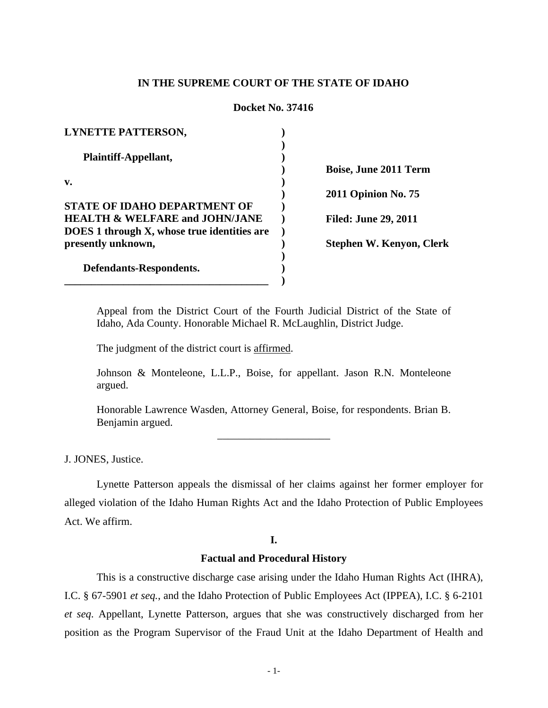## **IN THE SUPREME COURT OF THE STATE OF IDAHO**

## **Docket No. 37416**

| <b>LYNETTE PATTERSON,</b>                   |  |
|---------------------------------------------|--|
|                                             |  |
| Plaintiff-Appellant,                        |  |
|                                             |  |
| v.                                          |  |
|                                             |  |
| <b>STATE OF IDAHO DEPARTMENT OF</b>         |  |
| <b>HEALTH &amp; WELFARE and JOHN/JANE</b>   |  |
| DOES 1 through X, whose true identities are |  |
| presently unknown,                          |  |
|                                             |  |
| Defendants-Respondents.                     |  |
|                                             |  |

**Boise, June 2011 Term 2011 Opinion No. 75 Filed: June 29, 2011 Stephen W. Kenyon, Clerk**

Appeal from the District Court of the Fourth Judicial District of the State of Idaho, Ada County. Honorable Michael R. McLaughlin, District Judge.

The judgment of the district court is affirmed.

Johnson & Monteleone, L.L.P., Boise, for appellant. Jason R.N. Monteleone argued.

Honorable Lawrence Wasden, Attorney General, Boise, for respondents. Brian B. Benjamin argued.

\_\_\_\_\_\_\_\_\_\_\_\_\_\_\_\_\_\_\_\_\_

J. JONES, Justice.

Lynette Patterson appeals the dismissal of her claims against her former employer for alleged violation of the Idaho Human Rights Act and the Idaho Protection of Public Employees Act. We affirm.

#### **I.**

### **Factual and Procedural History**

<span id="page-0-0"></span>This is a constructive discharge case arising under the Idaho Human Rights Act (IHRA), I.C. § 67-5901 *et seq.*, and the Idaho Protection of Public Employees Act (IPPEA), I.C. § 6-2101 *et seq*. Appellant, Lynette Patterson, argues that she was constructively discharged from her position as the Program Supervisor of the Fraud Unit at the Idaho Department of Health and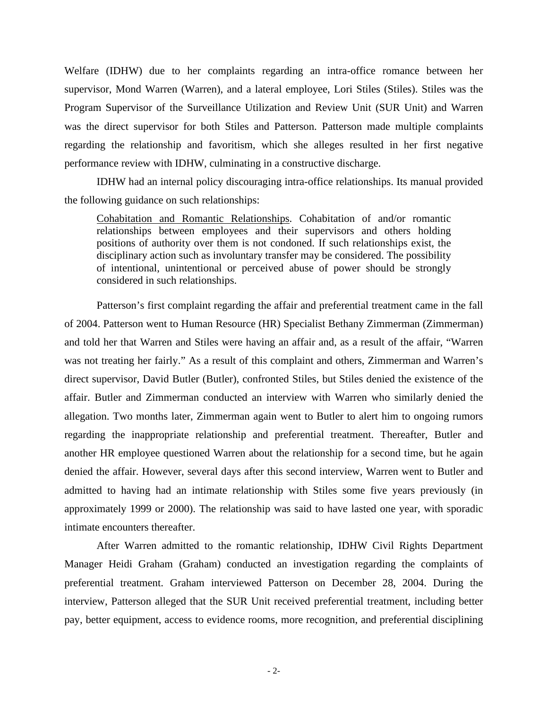Welfare (IDHW) due to her complaints regarding an intra-office romance between her supervisor, Mond Warren (Warren), and a lateral employee, Lori Stiles (Stiles). Stiles was the Program Supervisor of the Surveillance Utilization and Review Unit (SUR Unit) and Warren was the direct supervisor for both Stiles and Patterson. Patterson made multiple complaints regarding the relationship and favoritism, which she alleges resulted in her first negative performance review with IDHW, culminating in a constructive discharge.

IDHW had an internal policy discouraging intra-office relationships. Its manual provided the following guidance on such relationships:

Cohabitation and Romantic Relationships. Cohabitation of and/or romantic relationships between employees and their supervisors and others holding positions of authority over them is not condoned. If such relationships exist, the disciplinary action such as involuntary transfer may be considered. The possibility of intentional, unintentional or perceived abuse of power should be strongly considered in such relationships.

Patterson's first complaint regarding the affair and preferential treatment came in the fall of 2004. Patterson went to Human Resource (HR) Specialist Bethany Zimmerman (Zimmerman) and told her that Warren and Stiles were having an affair and, as a result of the affair, "Warren was not treating her fairly." As a result of this complaint and others, Zimmerman and Warren's direct supervisor, David Butler (Butler), confronted Stiles, but Stiles denied the existence of the affair. Butler and Zimmerman conducted an interview with Warren who similarly denied the allegation. Two months later, Zimmerman again went to Butler to alert him to ongoing rumors regarding the inappropriate relationship and preferential treatment. Thereafter, Butler and another HR employee questioned Warren about the relationship for a second time, but he again denied the affair. However, several days after this second interview, Warren went to Butler and admitted to having had an intimate relationship with Stiles some five years previously (in approximately 1999 or 2000). The relationship was said to have lasted one year, with sporadic intimate encounters thereafter.

After Warren admitted to the romantic relationship, IDHW Civil Rights Department Manager Heidi Graham (Graham) conducted an investigation regarding the complaints of preferential treatment. Graham interviewed Patterson on December 28, 2004. During the interview, Patterson alleged that the SUR Unit received preferential treatment, including better pay, better equipment, access to evidence rooms, more recognition, and preferential disciplining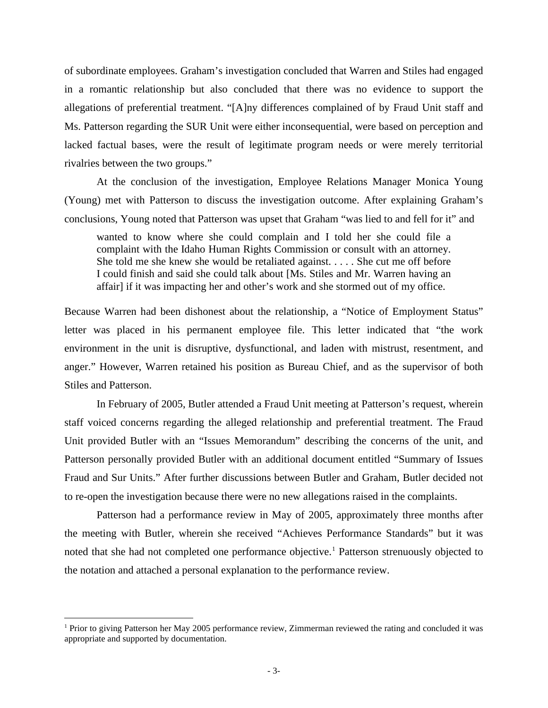of subordinate employees. Graham's investigation concluded that Warren and Stiles had engaged in a romantic relationship but also concluded that there was no evidence to support the allegations of preferential treatment. "[A]ny differences complained of by Fraud Unit staff and Ms. Patterson regarding the SUR Unit were either inconsequential, were based on perception and lacked factual bases, were the result of legitimate program needs or were merely territorial rivalries between the two groups."

At the conclusion of the investigation, Employee Relations Manager Monica Young (Young) met with Patterson to discuss the investigation outcome. After explaining Graham's conclusions, Young noted that Patterson was upset that Graham "was lied to and fell for it" and

wanted to know where she could complain and I told her she could file a complaint with the Idaho Human Rights Commission or consult with an attorney. She told me she knew she would be retaliated against. . . . . She cut me off before I could finish and said she could talk about [Ms. Stiles and Mr. Warren having an affair] if it was impacting her and other's work and she stormed out of my office.

Because Warren had been dishonest about the relationship, a "Notice of Employment Status" letter was placed in his permanent employee file. This letter indicated that "the work environment in the unit is disruptive, dysfunctional, and laden with mistrust, resentment, and anger." However, Warren retained his position as Bureau Chief, and as the supervisor of both Stiles and Patterson.

In February of 2005, Butler attended a Fraud Unit meeting at Patterson's request, wherein staff voiced concerns regarding the alleged relationship and preferential treatment. The Fraud Unit provided Butler with an "Issues Memorandum" describing the concerns of the unit, and Patterson personally provided Butler with an additional document entitled "Summary of Issues Fraud and Sur Units." After further discussions between Butler and Graham, Butler decided not to re-open the investigation because there were no new allegations raised in the complaints.

Patterson had a performance review in May of 2005, approximately three months after the meeting with Butler, wherein she received "Achieves Performance Standards" but it was noted that she had not completed one performance objective. [1](#page-0-0) Patterson strenuously objected to the notation and attached a personal explanation to the performance review.

<span id="page-2-0"></span><sup>&</sup>lt;sup>1</sup> Prior to giving Patterson her May 2005 performance review, Zimmerman reviewed the rating and concluded it was appropriate and supported by documentation.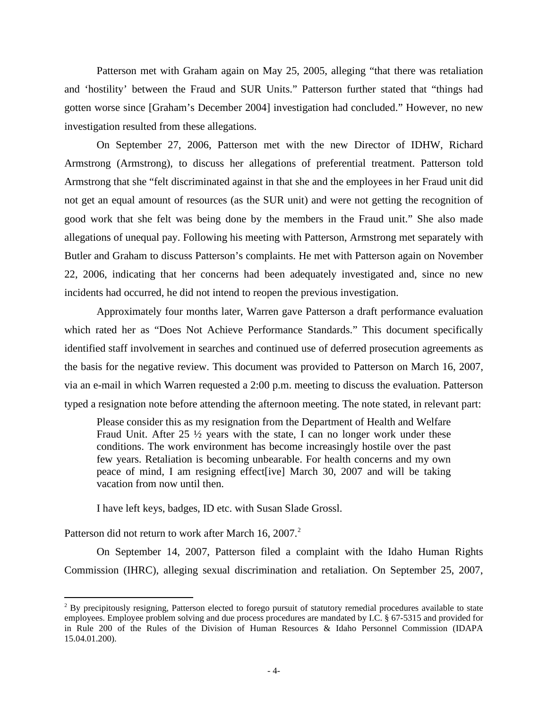Patterson met with Graham again on May 25, 2005, alleging "that there was retaliation and 'hostility' between the Fraud and SUR Units." Patterson further stated that "things had gotten worse since [Graham's December 2004] investigation had concluded." However, no new investigation resulted from these allegations.

On September 27, 2006, Patterson met with the new Director of IDHW, Richard Armstrong (Armstrong), to discuss her allegations of preferential treatment. Patterson told Armstrong that she "felt discriminated against in that she and the employees in her Fraud unit did not get an equal amount of resources (as the SUR unit) and were not getting the recognition of good work that she felt was being done by the members in the Fraud unit." She also made allegations of unequal pay. Following his meeting with Patterson, Armstrong met separately with Butler and Graham to discuss Patterson's complaints. He met with Patterson again on November 22, 2006, indicating that her concerns had been adequately investigated and, since no new incidents had occurred, he did not intend to reopen the previous investigation.

Approximately four months later, Warren gave Patterson a draft performance evaluation which rated her as "Does Not Achieve Performance Standards." This document specifically identified staff involvement in searches and continued use of deferred prosecution agreements as the basis for the negative review. This document was provided to Patterson on March 16, 2007, via an e-mail in which Warren requested a 2:00 p.m. meeting to discuss the evaluation. Patterson typed a resignation note before attending the afternoon meeting. The note stated, in relevant part:

Please consider this as my resignation from the Department of Health and Welfare Fraud Unit. After  $25\frac{1}{2}$  years with the state, I can no longer work under these conditions. The work environment has become increasingly hostile over the past few years. Retaliation is becoming unbearable. For health concerns and my own peace of mind, I am resigning effect[ive] March 30, 2007 and will be taking vacation from now until then.

I have left keys, badges, ID etc. with Susan Slade Grossl.

Patterson did not return to work after March 16,  $2007<sup>2</sup>$  $2007<sup>2</sup>$ 

On September 14, 2007, Patterson filed a complaint with the Idaho Human Rights Commission (IHRC), alleging sexual discrimination and retaliation. On September 25, 2007,

<span id="page-3-0"></span><sup>&</sup>lt;sup>2</sup> By precipitously resigning, Patterson elected to forego pursuit of statutory remedial procedures available to state employees. Employee problem solving and due process procedures are mandated by I.C. § 67-5315 and provided for in Rule 200 of the Rules of the Division of Human Resources & Idaho Personnel Commission (IDAPA 15.04.01.200).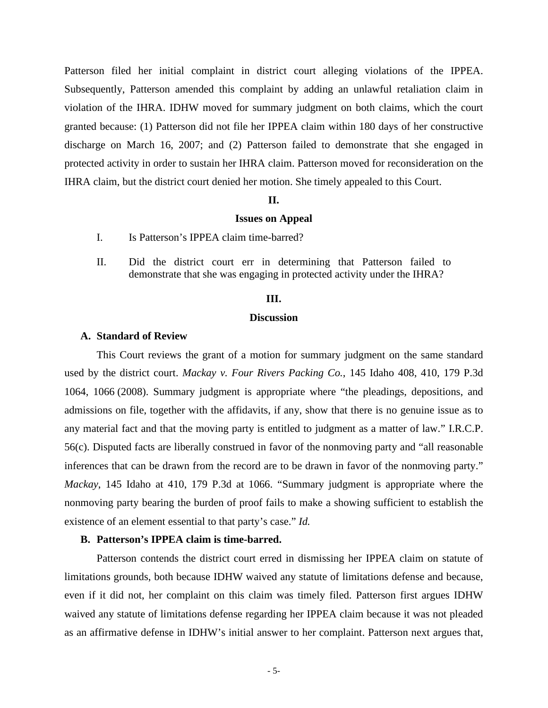Patterson filed her initial complaint in district court alleging violations of the IPPEA. Subsequently, Patterson amended this complaint by adding an unlawful retaliation claim in violation of the IHRA. IDHW moved for summary judgment on both claims, which the court granted because: (1) Patterson did not file her IPPEA claim within 180 days of her constructive discharge on March 16, 2007; and (2) Patterson failed to demonstrate that she engaged in protected activity in order to sustain her IHRA claim. Patterson moved for reconsideration on the IHRA claim, but the district court denied her motion. She timely appealed to this Court.

#### **II.**

## **Issues on Appeal**

- I. Is Patterson's IPPEA claim time-barred?
- II. Did the district court err in determining that Patterson failed to demonstrate that she was engaging in protected activity under the IHRA?

### **III.**

### **Discussion**

### **A. Standard of Review**

This Court reviews the grant of a motion for summary judgment on the same standard used by the district court. *Mackay v. Four Rivers Packing Co.*, 145 Idaho 408, 410, 179 P.3d 1064, 1066 (2008). Summary judgment is appropriate where "the pleadings, depositions, and admissions on file, together with the affidavits, if any, show that there is no genuine issue as to any material fact and that the moving party is entitled to judgment as a matter of law." I.R.C.P. 56(c). Disputed facts are liberally construed in favor of the nonmoving party and "all reasonable inferences that can be drawn from the record are to be drawn in favor of the nonmoving party." *Mackay*, 145 Idaho at 410, 179 P.3d at 1066. "Summary judgment is appropriate where the nonmoving party bearing the burden of proof fails to make a showing sufficient to establish the existence of an element essential to that party's case." *Id.* 

## **B. Patterson's IPPEA claim is time-barred.**

Patterson contends the district court erred in dismissing her IPPEA claim on statute of limitations grounds, both because IDHW waived any statute of limitations defense and because, even if it did not, her complaint on this claim was timely filed. Patterson first argues IDHW waived any statute of limitations defense regarding her IPPEA claim because it was not pleaded as an affirmative defense in IDHW's initial answer to her complaint. Patterson next argues that,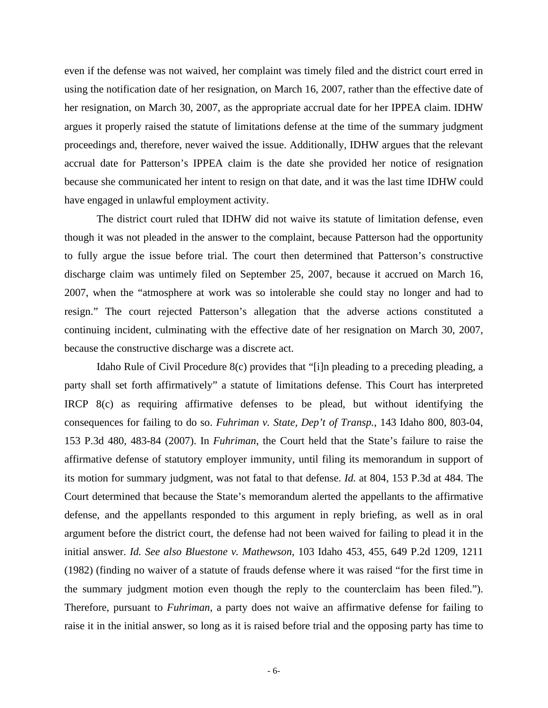even if the defense was not waived, her complaint was timely filed and the district court erred in using the notification date of her resignation, on March 16, 2007, rather than the effective date of her resignation, on March 30, 2007, as the appropriate accrual date for her IPPEA claim. IDHW argues it properly raised the statute of limitations defense at the time of the summary judgment proceedings and, therefore, never waived the issue. Additionally, IDHW argues that the relevant accrual date for Patterson's IPPEA claim is the date she provided her notice of resignation because she communicated her intent to resign on that date, and it was the last time IDHW could have engaged in unlawful employment activity.

The district court ruled that IDHW did not waive its statute of limitation defense, even though it was not pleaded in the answer to the complaint, because Patterson had the opportunity to fully argue the issue before trial. The court then determined that Patterson's constructive discharge claim was untimely filed on September 25, 2007, because it accrued on March 16, 2007, when the "atmosphere at work was so intolerable she could stay no longer and had to resign." The court rejected Patterson's allegation that the adverse actions constituted a continuing incident, culminating with the effective date of her resignation on March 30, 2007, because the constructive discharge was a discrete act.

Idaho Rule of Civil Procedure 8(c) provides that "[i]n pleading to a preceding pleading, a party shall set forth affirmatively" a statute of limitations defense. This Court has interpreted IRCP 8(c) as requiring affirmative defenses to be plead, but without identifying the consequences for failing to do so. *Fuhriman v. State, Dep't of Transp.*, 143 Idaho 800, 803-04, 153 P.3d 480, 483-84 (2007). In *Fuhriman*, the Court held that the State's failure to raise the affirmative defense of statutory employer immunity, until filing its memorandum in support of its motion for summary judgment, was not fatal to that defense. *Id.* at 804, 153 P.3d at 484. The Court determined that because the State's memorandum alerted the appellants to the affirmative defense, and the appellants responded to this argument in reply briefing, as well as in oral argument before the district court, the defense had not been waived for failing to plead it in the initial answer. *Id. See also Bluestone v. Mathewson*, 103 Idaho 453, 455, 649 P.2d 1209, 1211 (1982) (finding no waiver of a statute of frauds defense where it was raised "for the first time in the summary judgment motion even though the reply to the counterclaim has been filed."). Therefore, pursuant to *Fuhriman*, a party does not waive an affirmative defense for failing to raise it in the initial answer, so long as it is raised before trial and the opposing party has time to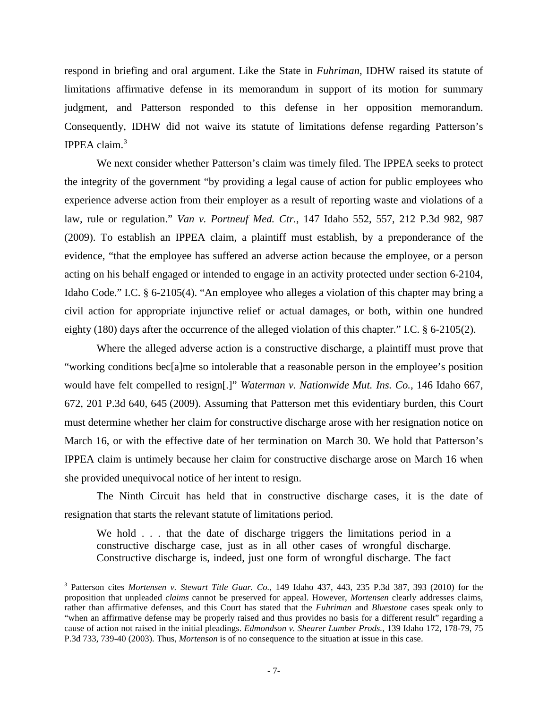respond in briefing and oral argument. Like the State in *Fuhriman*, IDHW raised its statute of limitations affirmative defense in its memorandum in support of its motion for summary judgment, and Patterson responded to this defense in her opposition memorandum. Consequently, IDHW did not waive its statute of limitations defense regarding Patterson's **IPPEA** claim. $3$ 

We next consider whether Patterson's claim was timely filed. The IPPEA seeks to protect the integrity of the government "by providing a legal cause of action for public employees who experience adverse action from their employer as a result of reporting waste and violations of a law, rule or regulation." *Van v. Portneuf Med. Ctr.*, 147 Idaho 552, 557, 212 P.3d 982, 987 (2009). To establish an IPPEA claim, a plaintiff must establish, by a preponderance of the evidence, "that the employee has suffered an adverse action because the employee, or a person acting on his behalf engaged or intended to engage in an activity protected under section 6-2104, Idaho Code." I.C. § 6-2105(4). "An employee who alleges a violation of this chapter may bring a civil action for appropriate injunctive relief or actual damages, or both, within one hundred eighty (180) days after the occurrence of the alleged violation of this chapter." I.C. § 6-2105(2).

Where the alleged adverse action is a constructive discharge, a plaintiff must prove that "working conditions bec[a]me so intolerable that a reasonable person in the employee's position would have felt compelled to resign[.]" *Waterman v. Nationwide Mut. Ins. Co.*, 146 Idaho 667, 672, 201 P.3d 640, 645 (2009). Assuming that Patterson met this evidentiary burden, this Court must determine whether her claim for constructive discharge arose with her resignation notice on March 16, or with the effective date of her termination on March 30. We hold that Patterson's IPPEA claim is untimely because her claim for constructive discharge arose on March 16 when she provided unequivocal notice of her intent to resign.

The Ninth Circuit has held that in constructive discharge cases, it is the date of resignation that starts the relevant statute of limitations period.

We hold . . . that the date of discharge triggers the limitations period in a constructive discharge case, just as in all other cases of wrongful discharge. Constructive discharge is, indeed, just one form of wrongful discharge. The fact

<span id="page-6-0"></span> <sup>3</sup> Patterson cites *Mortensen v. Stewart Title Guar. Co.*, 149 Idaho 437, 443, 235 P.3d 387, 393 (2010) for the proposition that unpleaded *claims* cannot be preserved for appeal. However, *Mortensen* clearly addresses claims, rather than affirmative defenses, and this Court has stated that the *Fuhriman* and *Bluestone* cases speak only to "when an affirmative defense may be properly raised and thus provides no basis for a different result" regarding a cause of action not raised in the initial pleadings. *Edmondson v. Shearer Lumber Prods.*, 139 Idaho 172, 178-79, 75 P.3d 733, 739-40 (2003). Thus, *Mortenson* is of no consequence to the situation at issue in this case.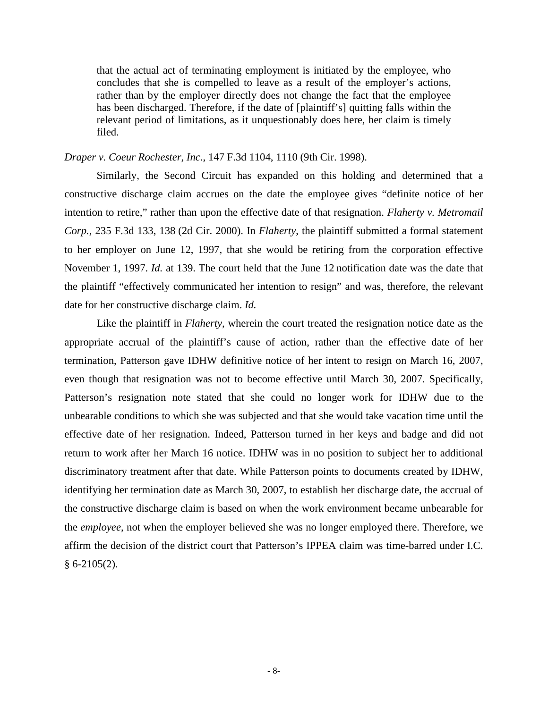that the actual act of terminating employment is initiated by the employee, who concludes that she is compelled to leave as a result of the employer's actions, rather than by the employer directly does not change the fact that the employee has been discharged. Therefore, if the date of [plaintiff's] quitting falls within the relevant period of limitations, as it unquestionably does here, her claim is timely filed.

# *Draper v. Coeur Rochester, Inc*., 147 F.3d 1104, 1110 (9th Cir. 1998).

Similarly, the Second Circuit has expanded on this holding and determined that a constructive discharge claim accrues on the date the employee gives "definite notice of her intention to retire," rather than upon the effective date of that resignation. *Flaherty v. Metromail Corp.*, 235 F.3d 133, 138 (2d Cir. 2000). In *Flaherty*, the plaintiff submitted a formal statement to her employer on June 12, 1997, that she would be retiring from the corporation effective November 1, 1997. *Id.* at 139. The court held that the June 12 notification date was the date that the plaintiff "effectively communicated her intention to resign" and was, therefore, the relevant date for her constructive discharge claim. *Id.* 

Like the plaintiff in *Flaherty*, wherein the court treated the resignation notice date as the appropriate accrual of the plaintiff's cause of action, rather than the effective date of her termination, Patterson gave IDHW definitive notice of her intent to resign on March 16, 2007, even though that resignation was not to become effective until March 30, 2007. Specifically, Patterson's resignation note stated that she could no longer work for IDHW due to the unbearable conditions to which she was subjected and that she would take vacation time until the effective date of her resignation. Indeed, Patterson turned in her keys and badge and did not return to work after her March 16 notice. IDHW was in no position to subject her to additional discriminatory treatment after that date. While Patterson points to documents created by IDHW, identifying her termination date as March 30, 2007, to establish her discharge date, the accrual of the constructive discharge claim is based on when the work environment became unbearable for the *employee*, not when the employer believed she was no longer employed there. Therefore, we affirm the decision of the district court that Patterson's IPPEA claim was time-barred under I.C.  $§ 6-2105(2).$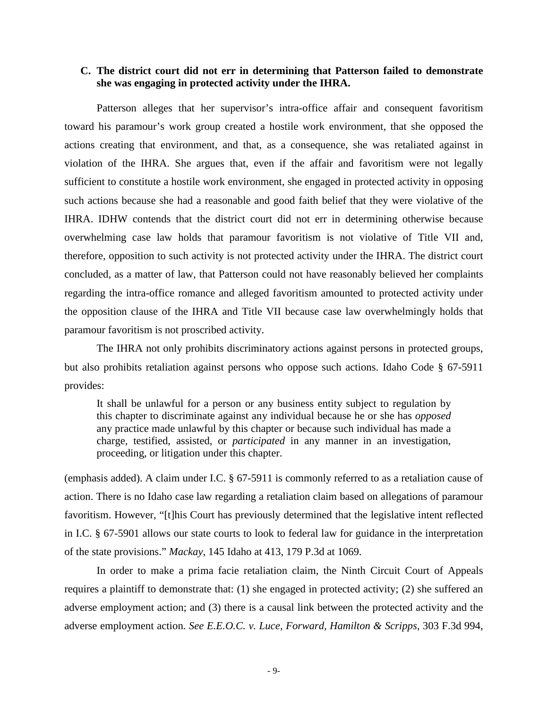# **C. The district court did not err in determining that Patterson failed to demonstrate she was engaging in protected activity under the IHRA.**

Patterson alleges that her supervisor's intra-office affair and consequent favoritism toward his paramour's work group created a hostile work environment, that she opposed the actions creating that environment, and that, as a consequence, she was retaliated against in violation of the IHRA. She argues that, even if the affair and favoritism were not legally sufficient to constitute a hostile work environment, she engaged in protected activity in opposing such actions because she had a reasonable and good faith belief that they were violative of the IHRA. IDHW contends that the district court did not err in determining otherwise because overwhelming case law holds that paramour favoritism is not violative of Title VII and, therefore, opposition to such activity is not protected activity under the IHRA. The district court concluded, as a matter of law, that Patterson could not have reasonably believed her complaints regarding the intra-office romance and alleged favoritism amounted to protected activity under the opposition clause of the IHRA and Title VII because case law overwhelmingly holds that paramour favoritism is not proscribed activity.

The IHRA not only prohibits discriminatory actions against persons in protected groups, but also prohibits retaliation against persons who oppose such actions. Idaho Code § 67-5911 provides:

It shall be unlawful for a person or any business entity subject to regulation by this chapter to discriminate against any individual because he or she has *opposed* any practice made unlawful by this chapter or because such individual has made a charge, testified, assisted, or *participated* in any manner in an investigation, proceeding, or litigation under this chapter.

(emphasis added). A claim under I.C. § 67-5911 is commonly referred to as a retaliation cause of action. There is no Idaho case law regarding a retaliation claim based on allegations of paramour favoritism. However, "[t]his Court has previously determined that the legislative intent reflected in I.C. § 67-5901 allows our state courts to look to federal law for guidance in the interpretation of the state provisions." *Mackay*, 145 Idaho at 413, 179 P.3d at 1069.

In order to make a prima facie retaliation claim, the Ninth Circuit Court of Appeals requires a plaintiff to demonstrate that: (1) she engaged in protected activity; (2) she suffered an adverse employment action; and (3) there is a causal link between the protected activity and the adverse employment action. *See E.E.O.C. v. Luce, Forward, Hamilton & Scripps*, 303 F.3d 994,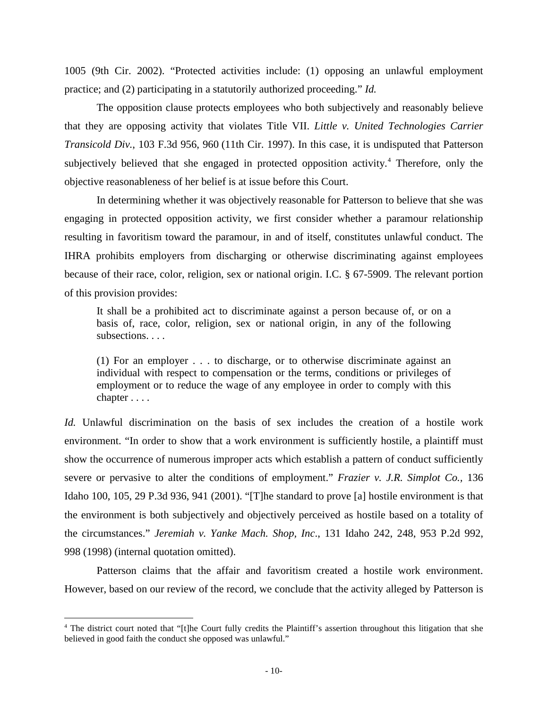1005 (9th Cir. 2002). "Protected activities include: (1) opposing an unlawful employment practice; and (2) participating in a statutorily authorized proceeding." *Id.* 

The opposition clause protects employees who both subjectively and reasonably believe that they are opposing activity that violates Title VII. *Little v. United Technologies Carrier Transicold Div.*, 103 F.3d 956, 960 (11th Cir. 1997). In this case, it is undisputed that Patterson subjectively believed that she engaged in protected opposition activity.<sup>[4](#page-6-0)</sup> Therefore, only the objective reasonableness of her belief is at issue before this Court.

In determining whether it was objectively reasonable for Patterson to believe that she was engaging in protected opposition activity, we first consider whether a paramour relationship resulting in favoritism toward the paramour, in and of itself, constitutes unlawful conduct. The IHRA prohibits employers from discharging or otherwise discriminating against employees because of their race, color, religion, sex or national origin. I.C. § 67-5909. The relevant portion of this provision provides:

It shall be a prohibited act to discriminate against a person because of, or on a basis of, race, color, religion, sex or national origin, in any of the following subsections. . . .

(1) For an employer . . . to discharge, or to otherwise discriminate against an individual with respect to compensation or the terms, conditions or privileges of employment or to reduce the wage of any employee in order to comply with this chapter . . . .

*Id.* Unlawful discrimination on the basis of sex includes the creation of a hostile work environment. "In order to show that a work environment is sufficiently hostile, a plaintiff must show the occurrence of numerous improper acts which establish a pattern of conduct sufficiently severe or pervasive to alter the conditions of employment." *Frazier v. J.R. Simplot Co.,* 136 Idaho 100, 105, 29 P.3d 936, 941 (2001). "[T]he standard to prove [a] hostile environment is that the environment is both subjectively and objectively perceived as hostile based on a totality of the circumstances." *Jeremiah v. Yanke Mach. Shop, Inc*., 131 Idaho 242, 248, 953 P.2d 992, 998 (1998) (internal quotation omitted).

<span id="page-9-0"></span>Patterson claims that the affair and favoritism created a hostile work environment. However, based on our review of the record, we conclude that the activity alleged by Patterson is

<sup>&</sup>lt;sup>4</sup> The district court noted that "[t]he Court fully credits the Plaintiff's assertion throughout this litigation that she believed in good faith the conduct she opposed was unlawful."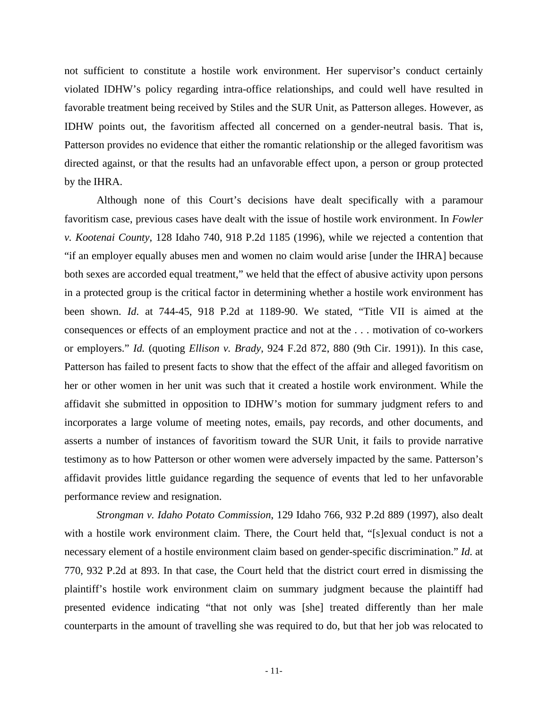not sufficient to constitute a hostile work environment. Her supervisor's conduct certainly violated IDHW's policy regarding intra-office relationships, and could well have resulted in favorable treatment being received by Stiles and the SUR Unit, as Patterson alleges. However, as IDHW points out, the favoritism affected all concerned on a gender-neutral basis. That is, Patterson provides no evidence that either the romantic relationship or the alleged favoritism was directed against, or that the results had an unfavorable effect upon, a person or group protected by the IHRA.

Although none of this Court's decisions have dealt specifically with a paramour favoritism case, previous cases have dealt with the issue of hostile work environment. In *Fowler v. Kootenai County*, 128 Idaho 740, 918 P.2d 1185 (1996), while we rejected a contention that "if an employer equally abuses men and women no claim would arise [under the IHRA] because both sexes are accorded equal treatment," we held that the effect of abusive activity upon persons in a protected group is the critical factor in determining whether a hostile work environment has been shown. *Id*. at 744-45, 918 P.2d at 1189-90. We stated, "Title VII is aimed at the consequences or effects of an employment practice and not at the . . . motivation of co-workers or employers." *Id.* (quoting *Ellison v. Brady*, 924 F.2d 872, 880 (9th Cir. 1991)). In this case, Patterson has failed to present facts to show that the effect of the affair and alleged favoritism on her or other women in her unit was such that it created a hostile work environment. While the affidavit she submitted in opposition to IDHW's motion for summary judgment refers to and incorporates a large volume of meeting notes, emails, pay records, and other documents, and asserts a number of instances of favoritism toward the SUR Unit, it fails to provide narrative testimony as to how Patterson or other women were adversely impacted by the same. Patterson's affidavit provides little guidance regarding the sequence of events that led to her unfavorable performance review and resignation.

*Strongman v. Idaho Potato Commission*, 129 Idaho 766, 932 P.2d 889 (1997), also dealt with a hostile work environment claim. There, the Court held that, "[s]exual conduct is not a necessary element of a hostile environment claim based on gender-specific discrimination." *Id.* at 770, 932 P.2d at 893. In that case, the Court held that the district court erred in dismissing the plaintiff's hostile work environment claim on summary judgment because the plaintiff had presented evidence indicating "that not only was [she] treated differently than her male counterparts in the amount of travelling she was required to do, but that her job was relocated to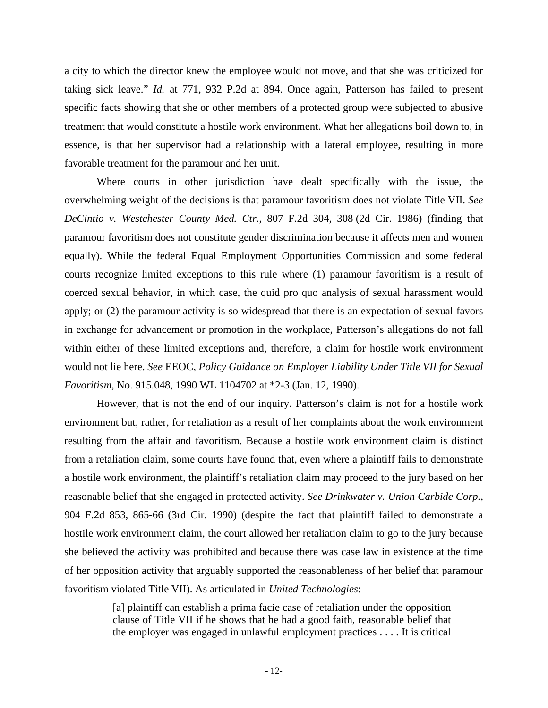a city to which the director knew the employee would not move, and that she was criticized for taking sick leave." *Id.* at 771, 932 P.2d at 894. Once again, Patterson has failed to present specific facts showing that she or other members of a protected group were subjected to abusive treatment that would constitute a hostile work environment. What her allegations boil down to, in essence, is that her supervisor had a relationship with a lateral employee, resulting in more favorable treatment for the paramour and her unit.

Where courts in other jurisdiction have dealt specifically with the issue, the overwhelming weight of the decisions is that paramour favoritism does not violate Title VII. *See DeCintio v. Westchester County Med. Ctr.*, 807 F.2d 304, 308 (2d Cir. 1986) (finding that paramour favoritism does not constitute gender discrimination because it affects men and women equally). While the federal Equal Employment Opportunities Commission and some federal courts recognize limited exceptions to this rule where (1) paramour favoritism is a result of coerced sexual behavior, in which case, the quid pro quo analysis of sexual harassment would apply; or (2) the paramour activity is so widespread that there is an expectation of sexual favors in exchange for advancement or promotion in the workplace, Patterson's allegations do not fall within either of these limited exceptions and, therefore, a claim for hostile work environment would not lie here. *See* EEOC, *Policy Guidance on Employer Liability Under Title VII for Sexual Favoritism*, No. 915.048, 1990 WL 1104702 at \*2-3 (Jan. 12, 1990).

However, that is not the end of our inquiry. Patterson's claim is not for a hostile work environment but, rather, for retaliation as a result of her complaints about the work environment resulting from the affair and favoritism. Because a hostile work environment claim is distinct from a retaliation claim, some courts have found that, even where a plaintiff fails to demonstrate a hostile work environment, the plaintiff's retaliation claim may proceed to the jury based on her reasonable belief that she engaged in protected activity. *See Drinkwater v. Union Carbide Corp.*, 904 F.2d 853, 865-66 (3rd Cir. 1990) (despite the fact that plaintiff failed to demonstrate a hostile work environment claim, the court allowed her retaliation claim to go to the jury because she believed the activity was prohibited and because there was case law in existence at the time of her opposition activity that arguably supported the reasonableness of her belief that paramour favoritism violated Title VII). As articulated in *United Technologies*:

> [a] plaintiff can establish a prima facie case of retaliation under the opposition clause of Title VII if he shows that he had a good faith, reasonable belief that the employer was engaged in unlawful employment practices . . . . It is critical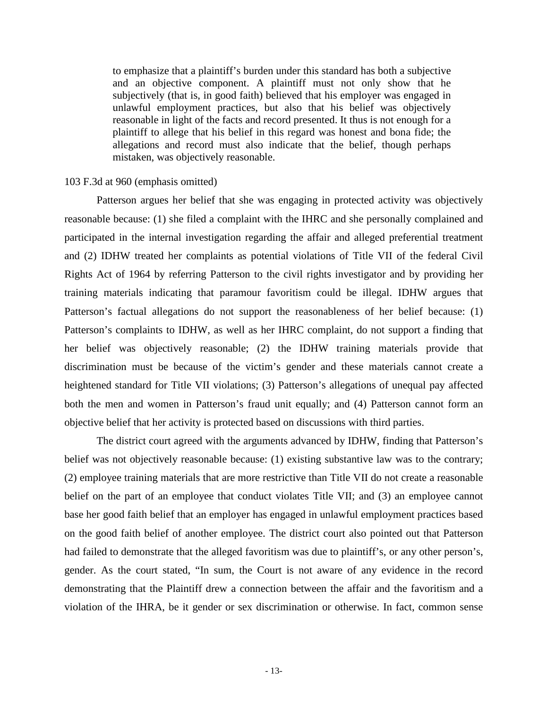to emphasize that a plaintiff's burden under this standard has both a subjective and an objective component. A plaintiff must not only show that he subjectively (that is, in good faith) believed that his employer was engaged in unlawful employment practices, but also that his belief was objectively reasonable in light of the facts and record presented. It thus is not enough for a plaintiff to allege that his belief in this regard was honest and bona fide; the allegations and record must also indicate that the belief, though perhaps mistaken, was objectively reasonable.

## 103 F.3d at 960 (emphasis omitted)

Patterson argues her belief that she was engaging in protected activity was objectively reasonable because: (1) she filed a complaint with the IHRC and she personally complained and participated in the internal investigation regarding the affair and alleged preferential treatment and (2) IDHW treated her complaints as potential violations of Title VII of the federal Civil Rights Act of 1964 by referring Patterson to the civil rights investigator and by providing her training materials indicating that paramour favoritism could be illegal. IDHW argues that Patterson's factual allegations do not support the reasonableness of her belief because: (1) Patterson's complaints to IDHW, as well as her IHRC complaint, do not support a finding that her belief was objectively reasonable; (2) the IDHW training materials provide that discrimination must be because of the victim's gender and these materials cannot create a heightened standard for Title VII violations; (3) Patterson's allegations of unequal pay affected both the men and women in Patterson's fraud unit equally; and (4) Patterson cannot form an objective belief that her activity is protected based on discussions with third parties.

The district court agreed with the arguments advanced by IDHW, finding that Patterson's belief was not objectively reasonable because: (1) existing substantive law was to the contrary; (2) employee training materials that are more restrictive than Title VII do not create a reasonable belief on the part of an employee that conduct violates Title VII; and (3) an employee cannot base her good faith belief that an employer has engaged in unlawful employment practices based on the good faith belief of another employee. The district court also pointed out that Patterson had failed to demonstrate that the alleged favoritism was due to plaintiff's, or any other person's, gender. As the court stated, "In sum, the Court is not aware of any evidence in the record demonstrating that the Plaintiff drew a connection between the affair and the favoritism and a violation of the IHRA, be it gender or sex discrimination or otherwise. In fact, common sense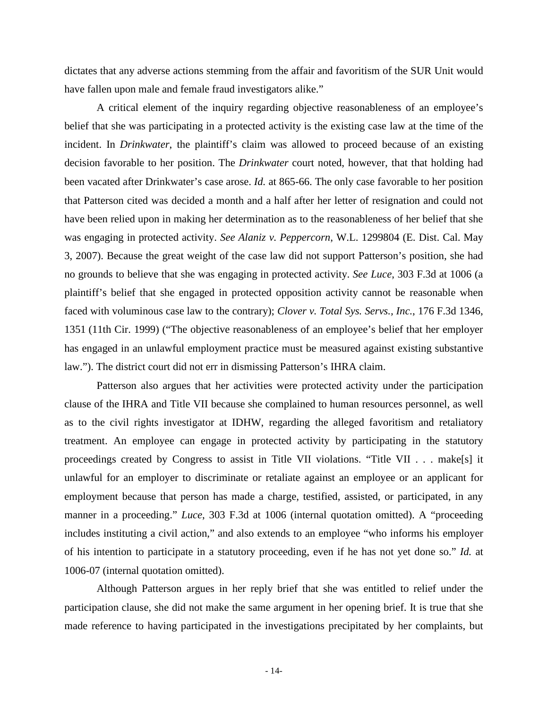dictates that any adverse actions stemming from the affair and favoritism of the SUR Unit would have fallen upon male and female fraud investigators alike."

A critical element of the inquiry regarding objective reasonableness of an employee's belief that she was participating in a protected activity is the existing case law at the time of the incident. In *Drinkwater*, the plaintiff's claim was allowed to proceed because of an existing decision favorable to her position. The *Drinkwater* court noted, however, that that holding had been vacated after Drinkwater's case arose. *Id.* at 865-66. The only case favorable to her position that Patterson cited was decided a month and a half after her letter of resignation and could not have been relied upon in making her determination as to the reasonableness of her belief that she was engaging in protected activity. *See Alaniz v. Peppercorn*, W.L. 1299804 (E. Dist. Cal. May 3, 2007). Because the great weight of the case law did not support Patterson's position, she had no grounds to believe that she was engaging in protected activity. *See Luce*, 303 F.3d at 1006 (a plaintiff's belief that she engaged in protected opposition activity cannot be reasonable when faced with voluminous case law to the contrary); *Clover v. Total Sys. Servs., Inc.*, 176 F.3d 1346, 1351 (11th Cir. 1999) ("The objective reasonableness of an employee's belief that her employer has engaged in an unlawful employment practice must be measured against existing substantive law."). The district court did not err in dismissing Patterson's IHRA claim.

Patterson also argues that her activities were protected activity under the participation clause of the IHRA and Title VII because she complained to human resources personnel, as well as to the civil rights investigator at IDHW, regarding the alleged favoritism and retaliatory treatment. An employee can engage in protected activity by participating in the statutory proceedings created by Congress to assist in Title VII violations. "Title VII . . . make[s] it unlawful for an employer to discriminate or retaliate against an employee or an applicant for employment because that person has made a charge, testified, assisted, or participated, in any manner in a proceeding." *Luce*, 303 F.3d at 1006 (internal quotation omitted). A "proceeding includes instituting a civil action," and also extends to an employee "who informs his employer of his intention to participate in a statutory proceeding, even if he has not yet done so." *Id.* at 1006-07 (internal quotation omitted).

Although Patterson argues in her reply brief that she was entitled to relief under the participation clause, she did not make the same argument in her opening brief. It is true that she made reference to having participated in the investigations precipitated by her complaints, but